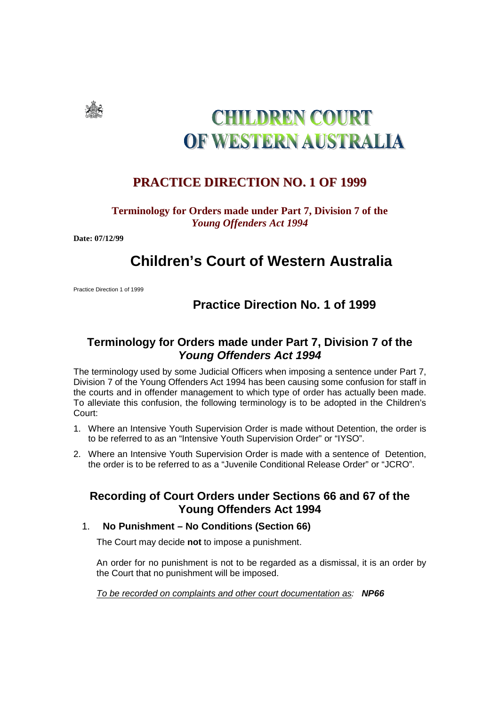

# **CHILDREN COURT** OF WESTERN AUSTRALIA

## **PRACTICE DIRECTION NO. 1 OF 1999**

#### **Terminology for Orders made under Part 7, Division 7 of the**  *Young Offenders Act 1994*

**Date: 07/12/99** 

## **Children's Court of Western Australia**

Practice Direction 1 of 1999

## **Practice Direction No. 1 of 1999**

### **Terminology for Orders made under Part 7, Division 7 of the Young Offenders Act 1994**

The terminology used by some Judicial Officers when imposing a sentence under Part 7, Division 7 of the Young Offenders Act 1994 has been causing some confusion for staff in the courts and in offender management to which type of order has actually been made. To alleviate this confusion, the following terminology is to be adopted in the Children's Court:

- 1. Where an Intensive Youth Supervision Order is made without Detention, the order is to be referred to as an "Intensive Youth Supervision Order" or "IYSO".
- 2. Where an Intensive Youth Supervision Order is made with a sentence of Detention, the order is to be referred to as a "Juvenile Conditional Release Order" or "JCRO".

#### **Recording of Court Orders under Sections 66 and 67 of the Young Offenders Act 1994**

#### 1. **No Punishment – No Conditions (Section 66)**

The Court may decide **not** to impose a punishment.

An order for no punishment is not to be regarded as a dismissal, it is an order by the Court that no punishment will be imposed.

To be recorded on complaints and other court documentation as: **NP66**